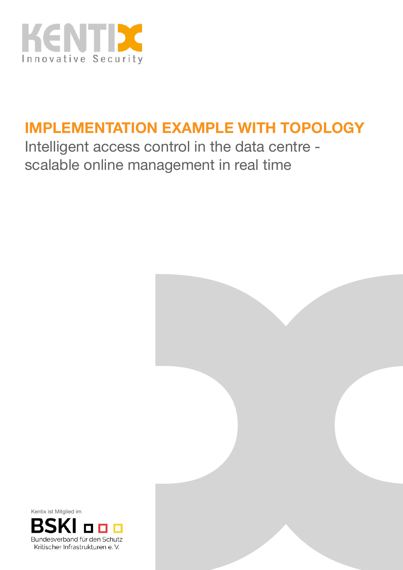

## **IMPLEMENTATION EXAMPLE WITH TOPOLOGY**

Intelligent access control in the data centre scalable online management in real time



Kentix ist Mitglied im

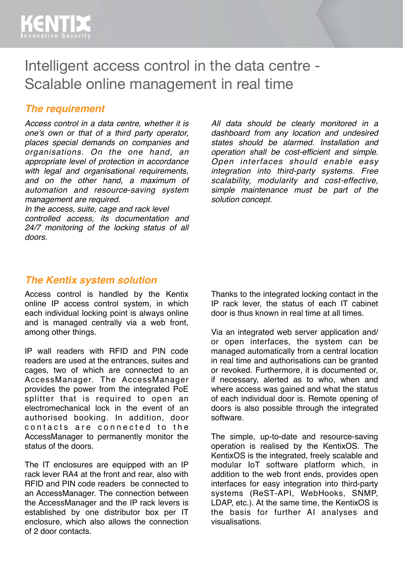## Intelligent access control in the data centre - Scalable online management in real time

#### *The requirement*

*Access control in a data centre, whether it is one's own or that of a third party operator, places special demands on companies and organisations. On the one hand, an appropriate level of protection in accordance with legal and organisational requirements, and on the other hand, a maximum of automation and resource-saving system management are required.*

*In the access, suite, cage and rack level controlled access, its documentation and 24/7 monitoring of the locking status of all doors.* 

*All data should be clearly monitored in a dashboard from any location and undesired states should be alarmed. Installation and operation shall be cost-efficient and simple. Open interfaces should enable easy integration into third-party systems. Free scalability, modularity and cost-effective, simple maintenance must be part of the solution concept.*

#### *The Kentix system solution*

Access control is handled by the Kentix online IP access control system, in which each individual locking point is always online and is managed centrally via a web front, among other things.

IP wall readers with RFID and PIN code readers are used at the entrances, suites and cages, two of which are connected to an AccessManager. The AccessManager provides the power from the integrated PoE splitter that is required to open an electromechanical lock in the event of an authorised booking. In addition, door contacts are connected to the AccessManager to permanently monitor the status of the doors.

The IT enclosures are equipped with an IP rack lever RA4 at the front and rear, also with RFID and PIN code readers be connected to an AccessManager. The connection between the AccessManager and the IP rack levers is established by one distributor box per IT enclosure, which also allows the connection of 2 door contacts.

Thanks to the integrated locking contact in the IP rack lever, the status of each IT cabinet door is thus known in real time at all times.

Via an integrated web server application and/ or open interfaces, the system can be managed automatically from a central location in real time and authorisations can be granted or revoked. Furthermore, it is documented or, if necessary, alerted as to who, when and where access was gained and what the status of each individual door is. Remote opening of doors is also possible through the integrated software.

The simple, up-to-date and resource-saving operation is realised by the KentixOS. The KentixOS is the integrated, freely scalable and modular IoT software platform which, in addition to the web front ends, provides open interfaces for easy integration into third-party systems (ReST-API, WebHooks, SNMP, LDAP, etc.). At the same time, the KentixOS is the basis for further AI analyses and visualisations.